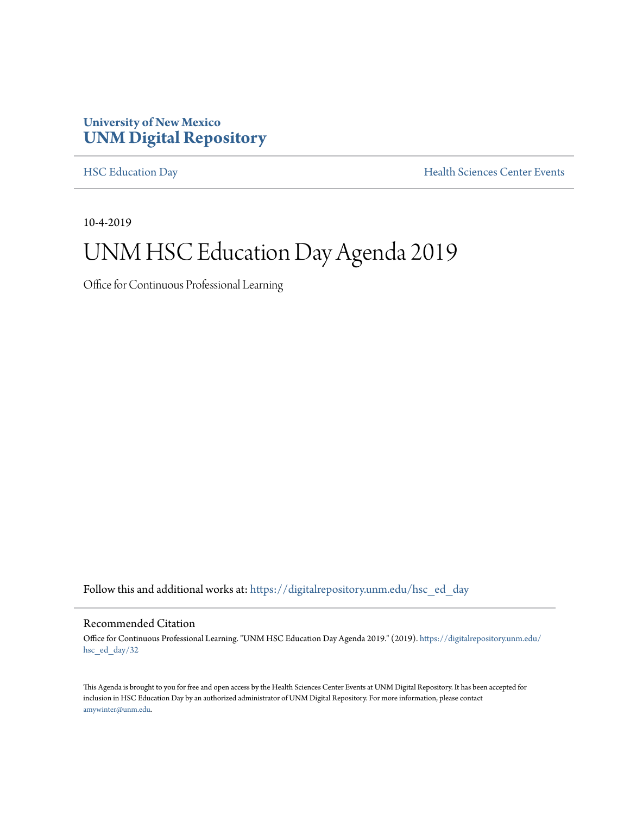#### **University of New Mexico [UNM Digital Repository](https://digitalrepository.unm.edu/?utm_source=digitalrepository.unm.edu%2Fhsc_ed_day%2F32&utm_medium=PDF&utm_campaign=PDFCoverPages)**

[HSC Education Day](https://digitalrepository.unm.edu/hsc_ed_day?utm_source=digitalrepository.unm.edu%2Fhsc_ed_day%2F32&utm_medium=PDF&utm_campaign=PDFCoverPages) **[Health Sciences Center Events](https://digitalrepository.unm.edu/hsc_events?utm_source=digitalrepository.unm.edu%2Fhsc_ed_day%2F32&utm_medium=PDF&utm_campaign=PDFCoverPages)** 

10-4-2019

# UNM HSC Education Day Agenda 2019

Office for Continuous Professional Learning

Follow this and additional works at: [https://digitalrepository.unm.edu/hsc\\_ed\\_day](https://digitalrepository.unm.edu/hsc_ed_day?utm_source=digitalrepository.unm.edu%2Fhsc_ed_day%2F32&utm_medium=PDF&utm_campaign=PDFCoverPages)

#### Recommended Citation

Office for Continuous Professional Learning. "UNM HSC Education Day Agenda 2019." (2019). [https://digitalrepository.unm.edu/](https://digitalrepository.unm.edu/hsc_ed_day/32?utm_source=digitalrepository.unm.edu%2Fhsc_ed_day%2F32&utm_medium=PDF&utm_campaign=PDFCoverPages) [hsc\\_ed\\_day/32](https://digitalrepository.unm.edu/hsc_ed_day/32?utm_source=digitalrepository.unm.edu%2Fhsc_ed_day%2F32&utm_medium=PDF&utm_campaign=PDFCoverPages)

This Agenda is brought to you for free and open access by the Health Sciences Center Events at UNM Digital Repository. It has been accepted for inclusion in HSC Education Day by an authorized administrator of UNM Digital Repository. For more information, please contact [amywinter@unm.edu](mailto:amywinter@unm.edu).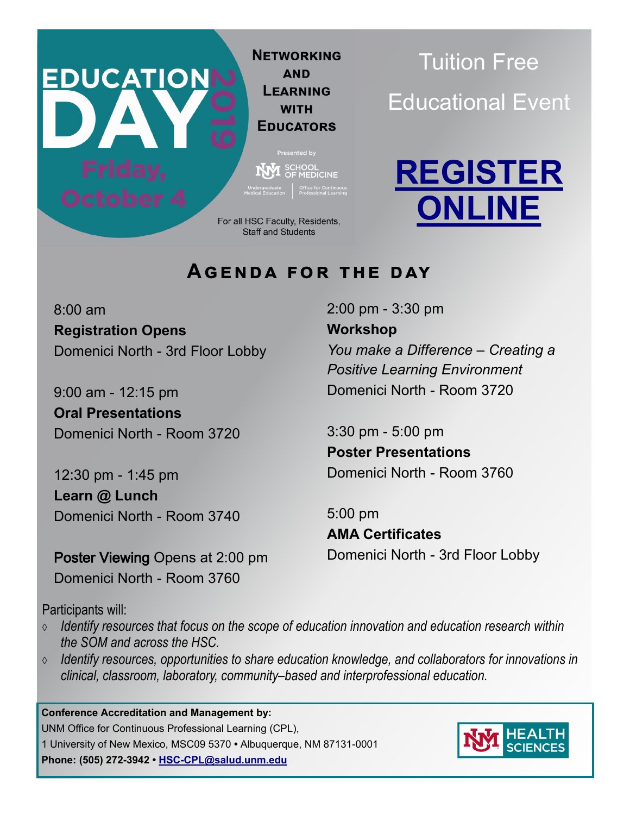**NETWORKING AND LEARNING WITH EDUCATORS** 

Presented by  $\sum_{\text{OF MEDICINE}}$ 

For all HSC Faculty, Residents, **Staff and Students** 

Tuition Free Educational Event



### **Agenda for the day**

8:00 am **Registration Opens** Domenici North - 3rd Floor Lobby

**EDUCATION** 

9:00 am - 12:15 pm **Oral Presentations**  Domenici North - Room 3720

12:30 pm - 1:45 pm **Learn @ Lunch**  Domenici North - Room 3740

Poster Viewing Opens at 2:00 pm Domenici North - Room 3760

2:00 pm - 3:30 pm **Workshop** *You make a Difference – Creating a Positive Learning Environment* Domenici North - Room 3720

3:30 pm - 5:00 pm **Poster Presentations** Domenici North - Room 3760

5:00 pm **AMA Certificates** Domenici North - 3rd Floor Lobby

Participants will:

- *Identify resources that focus on the scope of education innovation and education research within the SOM and across the HSC.*
- *Identify resources, opportunities to share education knowledge, and collaborators for innovations in clinical, classroom, laboratory, community–based and interprofessional education.*

**Conference Accreditation and Management by:**  UNM Office for Continuous Professional Learning (CPL), 1 University of New Mexico, MSC09 5370 **•** Albuquerque, NM 87131-0001 **Phone: (505) 272-3942 • HSC-[CPL@salud.unm.edu](mailto:HSC-Cpl@salud.unm.edu)**

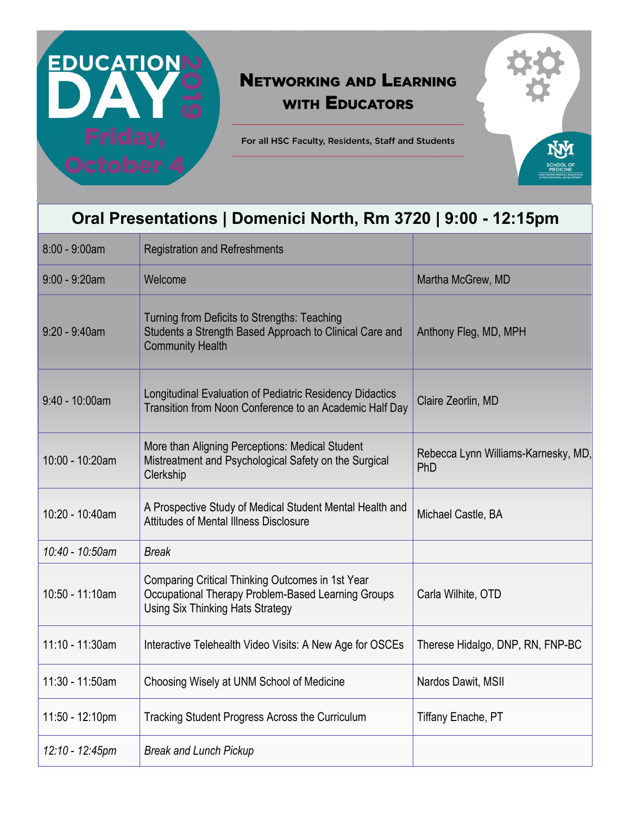# <u>EDUCATIONI</u>

# **NETWORKING AND LEARNING WITH EDUCATORS**

For all HSC Faculty, Residents, Staff and Students

# **Oral Presentations | Domenici North, Rm 3720 | 9:00 - 12:15pm**

| 8:00 - 9:00am    | <b>Registration and Refreshments</b>                                                                                                              |                                            |
|------------------|---------------------------------------------------------------------------------------------------------------------------------------------------|--------------------------------------------|
| $9:00 - 9:20$ am | Welcome                                                                                                                                           | Martha McGrew, MD                          |
| $9:20 - 9:40$ am | Turning from Deficits to Strengths: Teaching<br>Students a Strength Based Approach to Clinical Care and<br><b>Community Health</b>                | Anthony Fleg, MD, MPH                      |
| $9:40 - 10:00am$ | Longitudinal Evaluation of Pediatric Residency Didactics<br>Transition from Noon Conference to an Academic Half Day                               | Claire Zeorlin, MD                         |
| 10:00 - 10:20am  | More than Aligning Perceptions: Medical Student<br>Mistreatment and Psychological Safety on the Surgical<br>Clerkship                             | Rebecca Lynn Williams-Karnesky, MD,<br>PhD |
| 10:20 - 10:40am  | A Prospective Study of Medical Student Mental Health and<br>Attitudes of Mental Illness Disclosure                                                | Michael Castle, BA                         |
| 10:40 - 10:50am  | <b>Break</b>                                                                                                                                      |                                            |
| 10:50 - 11:10am  | Comparing Critical Thinking Outcomes in 1st Year<br>Occupational Therapy Problem-Based Learning Groups<br><b>Using Six Thinking Hats Strategy</b> | Carla Wilhite, OTD                         |
| 11:10 - 11:30am  | Interactive Telehealth Video Visits: A New Age for OSCEs                                                                                          | Therese Hidalgo, DNP, RN, FNP-BC           |
| 11:30 - 11:50am  | Choosing Wisely at UNM School of Medicine                                                                                                         | Nardos Dawit, MSII                         |
| 11:50 - 12:10pm  | Tracking Student Progress Across the Curriculum                                                                                                   | <b>Tiffany Enache, PT</b>                  |
| 12:10 - 12:45pm  | <b>Break and Lunch Pickup</b>                                                                                                                     |                                            |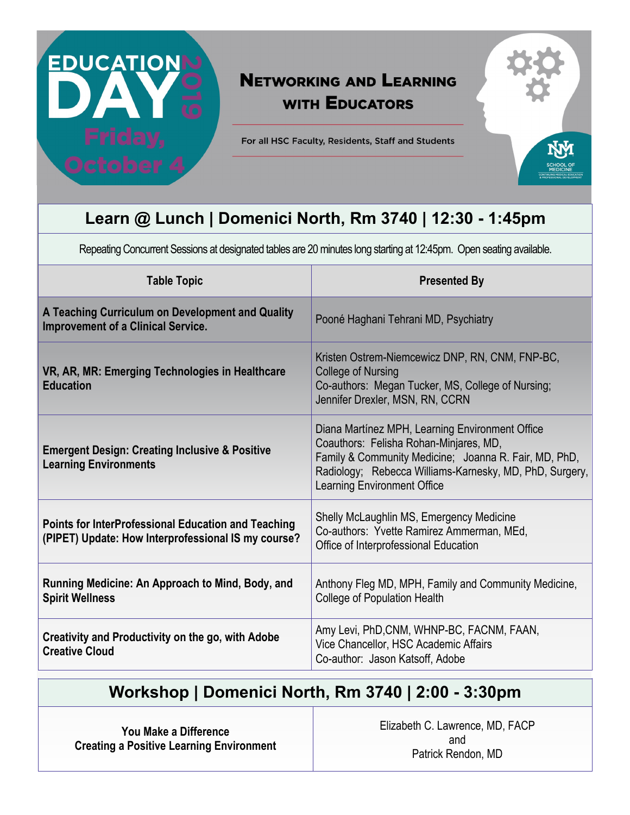

# **NETWORKING AND LEARNING WITH EDUCATORS**

For all HSC Faculty, Residents, Staff and Students

# **Learn @ Lunch | Domenici North, Rm 3740 | 12:30 - 1:45pm**

Repeating Concurrent Sessions at designated tables are 20 minutes long starting at 12:45pm. Open seating available.

| <b>Table Topic</b>                                                                                         | <b>Presented By</b>                                                                                                                                                                                                                                 |
|------------------------------------------------------------------------------------------------------------|-----------------------------------------------------------------------------------------------------------------------------------------------------------------------------------------------------------------------------------------------------|
| A Teaching Curriculum on Development and Quality<br><b>Improvement of a Clinical Service.</b>              | Pooné Haghani Tehrani MD, Psychiatry                                                                                                                                                                                                                |
| VR, AR, MR: Emerging Technologies in Healthcare<br><b>Education</b>                                        | Kristen Ostrem-Niemcewicz DNP, RN, CNM, FNP-BC,<br>College of Nursing<br>Co-authors: Megan Tucker, MS, College of Nursing;<br>Jennifer Drexler, MSN, RN, CCRN                                                                                       |
| <b>Emergent Design: Creating Inclusive &amp; Positive</b><br><b>Learning Environments</b>                  | Diana Martínez MPH, Learning Environment Office<br>Coauthors: Felisha Rohan-Minjares, MD,<br>Family & Community Medicine; Joanna R. Fair, MD, PhD,<br>Radiology; Rebecca Williams-Karnesky, MD, PhD, Surgery,<br><b>Learning Environment Office</b> |
| Points for InterProfessional Education and Teaching<br>(PIPET) Update: How Interprofessional IS my course? | Shelly McLaughlin MS, Emergency Medicine<br>Co-authors: Yvette Ramirez Ammerman, MEd,<br>Office of Interprofessional Education                                                                                                                      |
| Running Medicine: An Approach to Mind, Body, and<br><b>Spirit Wellness</b>                                 | Anthony Fleg MD, MPH, Family and Community Medicine,<br><b>College of Population Health</b>                                                                                                                                                         |
| Creativity and Productivity on the go, with Adobe<br><b>Creative Cloud</b>                                 | Amy Levi, PhD, CNM, WHNP-BC, FACNM, FAAN,<br>Vice Chancellor, HSC Academic Affairs<br>Co-author: Jason Katsoff, Adobe                                                                                                                               |

#### **Workshop | Domenici North, Rm 3740 | 2:00 - 3:30pm**

**You Make a Difference Creating a Positive Learning Environment** Elizabeth C. Lawrence, MD, FACP and Patrick Rendon, MD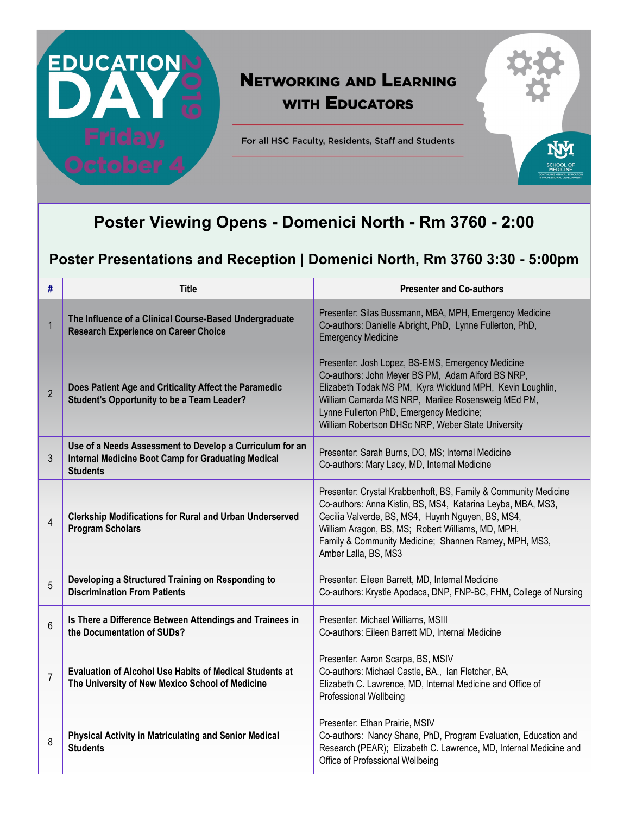

# **NETWORKING AND LEARNING WITH EDUCATORS**

For all HSC Faculty, Residents, Staff and Students

### **Poster Viewing Opens - Domenici North - Rm 3760 - 2:00**

#### **Poster Presentations and Reception | Domenici North, Rm 3760 3:30 - 5:00pm**

| #              | <b>Title</b>                                                                                                                             | <b>Presenter and Co-authors</b>                                                                                                                                                                                                                                                                                             |
|----------------|------------------------------------------------------------------------------------------------------------------------------------------|-----------------------------------------------------------------------------------------------------------------------------------------------------------------------------------------------------------------------------------------------------------------------------------------------------------------------------|
| $\mathbf{1}$   | The Influence of a Clinical Course-Based Undergraduate<br><b>Research Experience on Career Choice</b>                                    | Presenter: Silas Bussmann, MBA, MPH, Emergency Medicine<br>Co-authors: Danielle Albright, PhD, Lynne Fullerton, PhD,<br><b>Emergency Medicine</b>                                                                                                                                                                           |
| $\overline{2}$ | Does Patient Age and Criticality Affect the Paramedic<br><b>Student's Opportunity to be a Team Leader?</b>                               | Presenter: Josh Lopez, BS-EMS, Emergency Medicine<br>Co-authors: John Meyer BS PM, Adam Alford BS NRP,<br>Elizabeth Todak MS PM, Kyra Wicklund MPH, Kevin Loughlin,<br>William Camarda MS NRP, Marilee Rosensweig MEd PM,<br>Lynne Fullerton PhD, Emergency Medicine;<br>William Robertson DHSc NRP, Weber State University |
| 3              | Use of a Needs Assessment to Develop a Curriculum for an<br><b>Internal Medicine Boot Camp for Graduating Medical</b><br><b>Students</b> | Presenter: Sarah Burns, DO, MS; Internal Medicine<br>Co-authors: Mary Lacy, MD, Internal Medicine                                                                                                                                                                                                                           |
| 4              | <b>Clerkship Modifications for Rural and Urban Underserved</b><br><b>Program Scholars</b>                                                | Presenter: Crystal Krabbenhoft, BS, Family & Community Medicine<br>Co-authors: Anna Kistin, BS, MS4, Katarina Leyba, MBA, MS3,<br>Cecilia Valverde, BS, MS4, Huynh Nguyen, BS, MS4,<br>William Aragon, BS, MS; Robert Williams, MD, MPH,<br>Family & Community Medicine; Shannen Ramey, MPH, MS3,<br>Amber Lalla, BS, MS3   |
| 5              | Developing a Structured Training on Responding to<br><b>Discrimination From Patients</b>                                                 | Presenter: Eileen Barrett, MD, Internal Medicine<br>Co-authors: Krystle Apodaca, DNP, FNP-BC, FHM, College of Nursing                                                                                                                                                                                                       |
| 6              | Is There a Difference Between Attendings and Trainees in<br>the Documentation of SUDs?                                                   | Presenter: Michael Williams, MSIII<br>Co-authors: Eileen Barrett MD, Internal Medicine                                                                                                                                                                                                                                      |
| $\overline{7}$ | <b>Evaluation of Alcohol Use Habits of Medical Students at</b><br>The University of New Mexico School of Medicine                        | Presenter: Aaron Scarpa, BS, MSIV<br>Co-authors: Michael Castle, BA., Ian Fletcher, BA,<br>Elizabeth C. Lawrence, MD, Internal Medicine and Office of<br>Professional Wellbeing                                                                                                                                             |
| 8              | <b>Physical Activity in Matriculating and Senior Medical</b><br><b>Students</b>                                                          | Presenter: Ethan Prairie, MSIV<br>Co-authors: Nancy Shane, PhD, Program Evaluation, Education and<br>Research (PEAR); Elizabeth C. Lawrence, MD, Internal Medicine and<br>Office of Professional Wellbeing                                                                                                                  |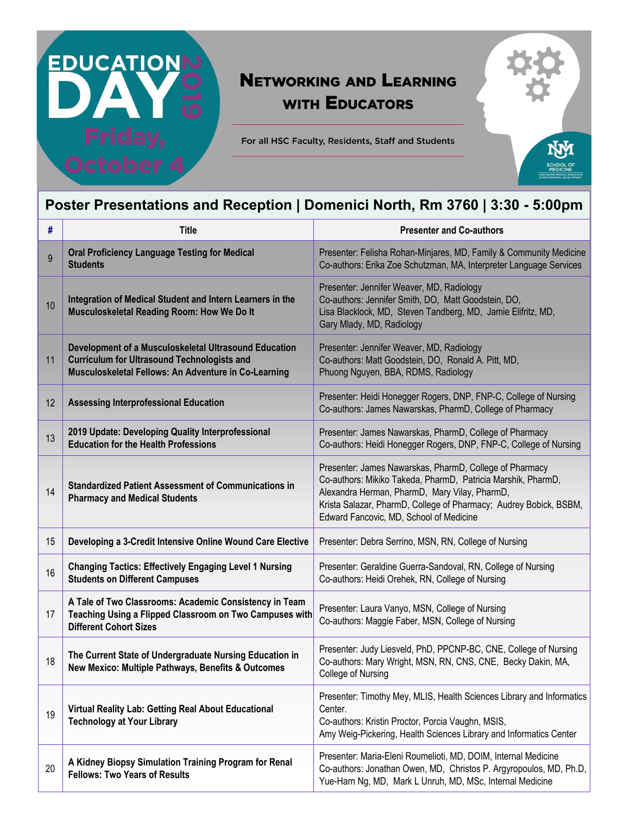# **NETWORKING AND LEARNING WITH EDUCATORS**

For all HSC Faculty, Residents, Staff and Students



<u>EDUCATIONI</u>

| #  | <b>Title</b>                                                                                                                                                        | <b>Presenter and Co-authors</b>                                                                                                                                                                                                                                                          |
|----|---------------------------------------------------------------------------------------------------------------------------------------------------------------------|------------------------------------------------------------------------------------------------------------------------------------------------------------------------------------------------------------------------------------------------------------------------------------------|
| 9  | <b>Oral Proficiency Language Testing for Medical</b><br><b>Students</b>                                                                                             | Presenter: Felisha Rohan-Minjares, MD, Family & Community Medicine<br>Co-authors: Erika Zoe Schutzman, MA, Interpreter Language Services                                                                                                                                                 |
| 10 | Integration of Medical Student and Intern Learners in the<br>Musculoskeletal Reading Room: How We Do It                                                             | Presenter: Jennifer Weaver, MD, Radiology<br>Co-authors: Jennifer Smith, DO, Matt Goodstein, DO,<br>Lisa Blacklock, MD, Steven Tandberg, MD, Jamie Elifritz, MD,<br>Gary Mlady, MD, Radiology                                                                                            |
| 11 | Development of a Musculoskeletal Ultrasound Education<br><b>Curriculum for Ultrasound Technologists and</b><br>Musculoskeletal Fellows: An Adventure in Co-Learning | Presenter: Jennifer Weaver, MD, Radiology<br>Co-authors: Matt Goodstein, DO, Ronald A. Pitt, MD,<br>Phuong Nguyen, BBA, RDMS, Radiology                                                                                                                                                  |
| 12 | <b>Assessing Interprofessional Education</b>                                                                                                                        | Presenter: Heidi Honegger Rogers, DNP, FNP-C, College of Nursing<br>Co-authors: James Nawarskas, PharmD, College of Pharmacy                                                                                                                                                             |
| 13 | 2019 Update: Developing Quality Interprofessional<br><b>Education for the Health Professions</b>                                                                    | Presenter: James Nawarskas, PharmD, College of Pharmacy<br>Co-authors: Heidi Honegger Rogers, DNP, FNP-C, College of Nursing                                                                                                                                                             |
| 14 | <b>Standardized Patient Assessment of Communications in</b><br><b>Pharmacy and Medical Students</b>                                                                 | Presenter: James Nawarskas, PharmD, College of Pharmacy<br>Co-authors: Mikiko Takeda, PharmD, Patricia Marshik, PharmD,<br>Alexandra Herman, PharmD, Mary Vilay, PharmD,<br>Krista Salazar, PharmD, College of Pharmacy; Audrey Bobick, BSBM,<br>Edward Fancovic, MD, School of Medicine |
| 15 | Developing a 3-Credit Intensive Online Wound Care Elective                                                                                                          | Presenter: Debra Serrino, MSN, RN, College of Nursing                                                                                                                                                                                                                                    |
| 16 | <b>Changing Tactics: Effectively Engaging Level 1 Nursing</b><br><b>Students on Different Campuses</b>                                                              | Presenter: Geraldine Guerra-Sandoval, RN, College of Nursing<br>Co-authors: Heidi Orehek, RN, College of Nursing                                                                                                                                                                         |
| 17 | A Tale of Two Classrooms: Academic Consistency in Team<br>Teaching Using a Flipped Classroom on Two Campuses with<br><b>Different Cohort Sizes</b>                  | Presenter: Laura Vanyo, MSN, College of Nursing<br>Co-authors: Maggie Faber, MSN, College of Nursing                                                                                                                                                                                     |
| 18 | The Current State of Undergraduate Nursing Education in<br>New Mexico: Multiple Pathways, Benefits & Outcomes                                                       | Presenter: Judy Liesveld, PhD, PPCNP-BC, CNE, College of Nursing<br>Co-authors: Mary Wright, MSN, RN, CNS, CNE, Becky Dakin, MA,<br>College of Nursing                                                                                                                                   |
| 19 | Virtual Reality Lab: Getting Real About Educational<br><b>Technology at Your Library</b>                                                                            | Presenter: Timothy Mey, MLIS, Health Sciences Library and Informatics<br>Center.<br>Co-authors: Kristin Proctor, Porcia Vaughn, MSIS,<br>Amy Weig-Pickering, Health Sciences Library and Informatics Center                                                                              |
| 20 | A Kidney Biopsy Simulation Training Program for Renal<br><b>Fellows: Two Years of Results</b>                                                                       | Presenter: Maria-Eleni Roumelioti, MD, DOIM, Internal Medicine<br>Co-authors: Jonathan Owen, MD, Christos P. Argyropoulos, MD, Ph.D,<br>Yue-Harn Ng, MD, Mark L Unruh, MD, MSc, Internal Medicine                                                                                        |